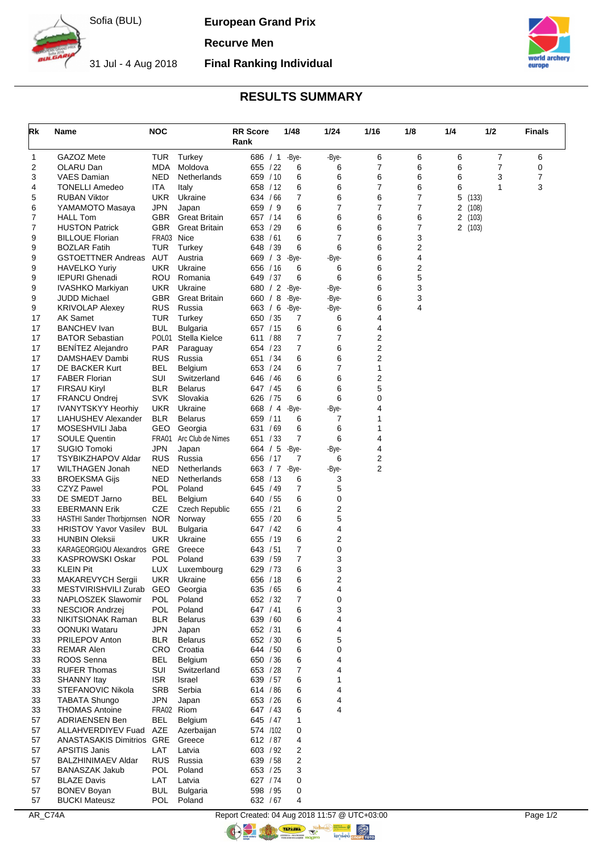Sofia (BUL)

**European Grand Prix**

**Recurve Men**

31 Jul - 4 Aug 2018 **Final Ranking Individual**



## **RESULTS SUMMARY**

| Rk       | Name                                                 | <b>NOC</b>               |                         | <b>RR Score</b><br>Rank | 1/48                            | 1/24       | 1/16   | 1/8            | 1/4             | 1/2   | <b>Finals</b> |
|----------|------------------------------------------------------|--------------------------|-------------------------|-------------------------|---------------------------------|------------|--------|----------------|-----------------|-------|---------------|
| 1        | GAZOZ Mete                                           | <b>TUR</b>               | Turkey                  | 686 / 1                 | -Bye-                           | -Bye-      | 6      | 6              | 6               | 7     | 6             |
| 2        | OLARU Dan                                            | <b>MDA</b>               | Moldova                 | 655 / 22                | 6                               | 6          | 7      | 6              | 6               | 7     | 0             |
| 3        | VAES Damian                                          | <b>NED</b>               | Netherlands             | 659 / 10                | 6                               | 6          | 6      | 6              | 6               | 3     | 7             |
| 4        | <b>TONELLI Amedeo</b><br><b>RUBAN Viktor</b>         | ITA<br><b>UKR</b>        | Italy                   | 658 / 12<br>634 / 66    | 6<br>7                          | 6<br>6     | 7<br>6 | 6<br>7         | 6               | 1     | 3             |
| 5<br>6   | YAMAMOTO Masaya                                      | <b>JPN</b>               | Ukraine<br>Japan        | 659 / 9                 | 6                               | 7          | 7      | $\overline{7}$ | 5<br>2<br>(108) | (133) |               |
| 7        | <b>HALL Tom</b>                                      | GBR.                     | <b>Great Britain</b>    | 657 / 14                | 6                               | 6          | 6      | 6              | 2<br>(103)      |       |               |
| 7        | <b>HUSTON Patrick</b>                                | <b>GBR</b>               | <b>Great Britain</b>    | 653 / 29                | 6                               | 6          | 6      | $\overline{7}$ | 2(103)          |       |               |
| 9        | <b>BILLOUE Florian</b>                               | FRA03 Nice               |                         | 638 / 61                | 6                               | 7          | 6      | 3              |                 |       |               |
| 9        | <b>BOZLAR Fatih</b>                                  | TUR                      | Turkey                  | 648 / 39                | 6                               | 6          | 6      | 2              |                 |       |               |
| 9        | <b>GSTOETTNER Andreas</b>                            | AUT                      | Austria                 | 669 / 3                 | -Bye-                           | -Bye-      | 6      | 4              |                 |       |               |
| 9        | <b>HAVELKO Yuriy</b>                                 | <b>UKR</b>               | Ukraine                 | 656 / 16                | 6                               | 6<br>6     | 6<br>6 | 2              |                 |       |               |
| 9<br>9   | <b>IEPURI Ghenadi</b><br>IVASHKO Markiyan            | ROU<br><b>UKR</b>        | Romania<br>Ukraine      | 649 / 37                | 6<br>680 / 2 -Bye-              | -Bye-      | 6      | 5<br>3         |                 |       |               |
| 9        | JUDD Michael                                         | <b>GBR</b>               | <b>Great Britain</b>    | 660 / 8                 | -Bye-                           | -Bye-      | 6      | 3              |                 |       |               |
| 9        | <b>KRIVOLAP Alexey</b>                               | RUS                      | Russia                  | 663 / 6                 | -Bye-                           | -Bye-      | 6      | 4              |                 |       |               |
| 17       | <b>AK Samet</b>                                      | <b>TUR</b>               | Turkey                  | 650 / 35                | 7                               | 6          | 4      |                |                 |       |               |
| 17       | <b>BANCHEV</b> Ivan                                  | <b>BUL</b>               | <b>Bulgaria</b>         | 657 / 15                | 6                               | 6          | 4      |                |                 |       |               |
| 17       | <b>BATOR Sebastian</b>                               | POL01                    | Stella Kielce           | 611 / 88                | 7                               | 7          | 2      |                |                 |       |               |
| 17       | <b>BENÍTEZ Alejandro</b>                             | <b>PAR</b>               | Paraguay                | 654 / 23                | 7                               | 6          | 2      |                |                 |       |               |
| 17       | DAMSHAEV Dambi                                       | <b>RUS</b>               | Russia                  | 651 / 34                | 6                               | 6          | 2      |                |                 |       |               |
| 17<br>17 | DE BACKER Kurt<br><b>FABER Florian</b>               | BEL<br>SUI               | Belgium<br>Switzerland  | 653 / 24<br>646 / 46    | 6<br>6                          | 7<br>6     | 1<br>2 |                |                 |       |               |
| 17       | <b>FIRSAU Kiryl</b>                                  | <b>BLR</b>               | <b>Belarus</b>          | 647 / 45                | 6                               | 6          | 5      |                |                 |       |               |
| 17       | FRANCU Ondrej                                        | <b>SVK</b>               | Slovakia                | 626 / 75                | 6                               | 6          | 0      |                |                 |       |               |
| 17       | <b>IVANYTSKYY Heorhiy</b>                            | UKR                      | Ukraine                 | 668 / 4                 | -Bye-                           | -Bye-      | 4      |                |                 |       |               |
| 17       | LIAHUSHEV Alexander                                  | <b>BLR</b>               | <b>Belarus</b>          | 659 / 11                | 6                               | 7          | 1      |                |                 |       |               |
| 17       | MOSESHVILI Jaba                                      | GEO                      | Georgia                 | 631 / 69                | 6                               | 6          | 1      |                |                 |       |               |
| 17       | <b>SOULE Quentin</b>                                 | FRA01                    | Arc Club de Nimes       | 651 / 33                | 7                               | 6          | 4      |                |                 |       |               |
| 17       | <b>SUGIO Tomoki</b>                                  | JPN                      | Japan                   | 664 / 5                 | -Bye-                           | -Bye-      | 4      |                |                 |       |               |
| 17<br>17 | <b>TSYBIKZHAPOV Aldar</b><br>WILTHAGEN Jonah         | <b>RUS</b><br><b>NED</b> | Russia<br>Netherlands   | 656 / 17                | $\overline{7}$<br>663 / 7 -Bye- | 6<br>-Bye- | 2<br>2 |                |                 |       |               |
| 33       | <b>BROEKSMA Gijs</b>                                 | NED                      | Netherlands             | 658 / 13                | 6                               | 3          |        |                |                 |       |               |
| 33       | <b>CZYZ Pawel</b>                                    | <b>POL</b>               | Poland                  | 645 / 49                | 7                               | 5          |        |                |                 |       |               |
| 33       | DE SMEDT Jarno                                       | <b>BEL</b>               | Belgium                 | 640 / 55                | 6                               | 0          |        |                |                 |       |               |
| 33       | <b>EBERMANN Erik</b>                                 | CZE                      | Czech Republic          | 655 / 21                | 6                               | 2          |        |                |                 |       |               |
| 33       | HASTHI Sander Thorbjornsen                           | <b>NOR</b>               | Norway                  | 655 / 20                | 6                               | 5          |        |                |                 |       |               |
| 33       | <b>HRISTOV Yavor Vasilev</b>                         | <b>BUL</b>               | <b>Bulgaria</b>         | 647 / 42                | 6                               | 4          |        |                |                 |       |               |
| 33<br>33 | <b>HUNBIN Oleksii</b><br>KARAGEORGIOU Alexandros GRE | <b>UKR</b>               | Ukraine<br>Greece       | 655 / 19<br>643 / 51    | 6<br>7                          | 2<br>0     |        |                |                 |       |               |
| 33       | KASPROWSKI Oskar                                     | POL                      | Poland                  | 639 / 59                | 7                               | 3          |        |                |                 |       |               |
| 33       | <b>KLEIN Pit</b>                                     | <b>LUX</b>               | Luxembourg              | 629 / 73                | 6                               | 3          |        |                |                 |       |               |
| 33       | MAKAREVYCH Sergii                                    | <b>UKR</b>               | Ukraine                 | 656 / 18                | 6                               | 2          |        |                |                 |       |               |
| 33       | MESTVIRISHVILI Zurab                                 | GEO                      | Georgia                 | 635 / 65                | 6                               | 4          |        |                |                 |       |               |
| 33       | NAPLOSZEK Slawomir                                   | <b>POL</b>               | Poland                  | 652 / 32                | 7                               | 0          |        |                |                 |       |               |
| 33       | <b>NESCIOR Andrzei</b>                               | POL                      | Poland                  | 647 / 41                | 6                               | 3          |        |                |                 |       |               |
| 33       | NIKITSIONAK Raman                                    | BLR                      | <b>Belarus</b>          | 639 / 60                | 6                               | 4          |        |                |                 |       |               |
| 33<br>33 | <b>OONUKI Wataru</b><br>PRILEPOV Anton               | <b>JPN</b><br><b>BLR</b> | Japan<br><b>Belarus</b> | 652 / 31<br>652 / 30    | 6<br>6                          | 4<br>5     |        |                |                 |       |               |
| 33       | <b>REMAR Alen</b>                                    |                          | CRO Croatia             | 644 / 50                | 6                               | 0          |        |                |                 |       |               |
| 33       | ROOS Senna                                           | <b>BEL</b>               | Belgium                 | 650 / 36                | 6                               | 4          |        |                |                 |       |               |
| 33       | <b>RUFER Thomas</b>                                  | SUI                      | Switzerland             | 653 / 28                | 7                               | 4          |        |                |                 |       |               |
| 33       | <b>SHANNY Itay</b>                                   | <b>ISR</b>               | Israel                  | 639 / 57                | 6                               | 1          |        |                |                 |       |               |
| 33       | STEFANOVIC Nikola                                    | SRB                      | Serbia                  | 614 / 86                | 6                               | 4          |        |                |                 |       |               |
| 33       | <b>TABATA Shungo</b>                                 | <b>JPN</b>               | Japan                   | 653 / 26                | 6                               | 4          |        |                |                 |       |               |
| 33       | <b>THOMAS Antoine</b>                                |                          | FRA02 Riom              | 647 / 43                | 6                               | 4          |        |                |                 |       |               |
| 57<br>57 | <b>ADRIAENSEN Ben</b><br>ALLAHVERDIYEV Fuad          | BEL<br>AZE               | Belgium<br>Azerbaijan   | 645 / 47<br>574 /102    | 1<br>0                          |            |        |                |                 |       |               |
| 57       | ANASTASAKIS Dimitrios GRE                            |                          | Greece                  | 612 / 87                | 4                               |            |        |                |                 |       |               |
| 57       | <b>APSITIS Janis</b>                                 | LAT                      | Latvia                  | 603 / 92                | 2                               |            |        |                |                 |       |               |
| 57       | <b>BALZHINIMAEV Aldar</b>                            | RUS.                     | Russia                  | 639 / 58                | 2                               |            |        |                |                 |       |               |
| 57       | <b>BANASZAK Jakub</b>                                | POL                      | Poland                  | 653 / 25                | 3                               |            |        |                |                 |       |               |
| 57       | <b>BLAZE Davis</b>                                   | LAT                      | Latvia                  | 627 / 74                | 0                               |            |        |                |                 |       |               |
| 57       | <b>BONEV Boyan</b>                                   | <b>BUL</b>               | <b>Bulgaria</b>         | 598 / 95                | 0                               |            |        |                |                 |       |               |
| 57       | <b>BUCKI Mateusz</b>                                 | POL                      | Poland                  | 632 / 67                | 4                               |            |        |                |                 |       |               |

AR\_C74A Report Created: 04 Aug 2018 11:57 @ UTC+03:00 Page 1/2

**ORIGINAL** 

C C THE THE R